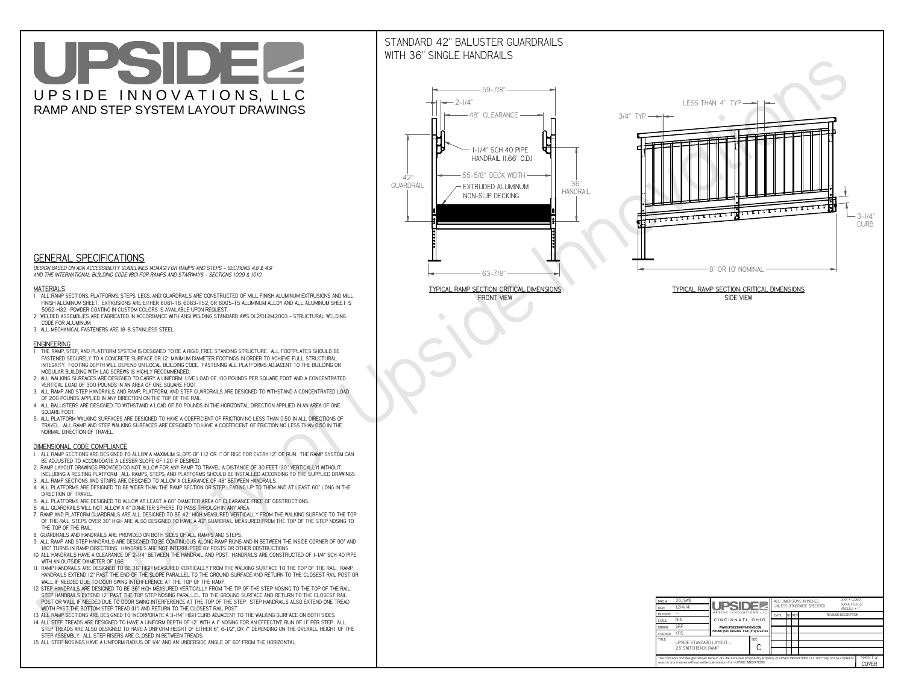# UPSIDEL UPSIDE INNOVATIONS, LLC RAMP AND STEP SYSTEM LAYOUT DRAWINGS

## STANDARD 42" BALUSTER GUARDRAILSWITH 36" SINGLE HANDRAILS

**FRONT VIEW**





**GENERAL SPECIFICATIONS**

 *DESIGN BASED ON ADA ACCESSIBILITY GUIDELINES (ADAAG) FOR RAMPS AND STEPS - SECTIONS 4.8 & 4.9AND THE INTERNATIONAL BUILDING CODE (IBC) FOR RAMPS AND STAIRWAYS - SECTIONS 1009 & 1010*

#### **MATERIALS**

- **1. ALL RAMP SECTIONS, PLATFORMS, STEPS, LEGS, AND GUARDRAILS ARE CONSTRUCTED OF MILL FINISH ALUMINUM EXTRUSIONS AND MILL FINISH ALUMINUM SHEET. EXTRUSIONS ARE EITHER 6061-T6, 6063-T52, OR 6005-T5 ALUMINUM ALLOY AND ALL ALUMINUM SHEET IS 5052-H32. POWDER COATING IN CUSTOM COLORS IS AVAILABLE UPON REQUEST.**
- **2. WELDED ASSEMBLIES ARE FABRICATED IN ACCORDANCE WITH ANSI WELDING STANDARD AWS D1.2/D1.2M:2003 STRUCTURAL WELDING CODE FOR ALUMINUM.**
- **3. ALL MECHANICAL FASTENERS ARE 18-8 STAINLESS STEEL.**

#### **ENGINEERING**

- **1. THE RAMP, STEP, AND PLATFORM SYSTEM IS DESIGNED TO BE A RIGID, FREE STANDING STRUCTURE. ALL FOOTPLATES SHOULD BE FASTENED SECURELY TO A CONCRETE SURFACE OR 12" MINIMUM DIAMETER FOOTINGS IN ORDER TO ACHIEVE FULL STRUCTURAL INTEGRITY. FOOTING DEPTH WILL DEPEND ON LOCAL BUILDING CODE. FASTENING ALL PLATFORMS ADJACENT TO THE BUILDING OR MODULAR BUILDING WITH LAG SCREWS IS HIGHLY RECOMMENDED.**
- **2. ALL WALKING SURFACES ARE DESIGNED TO CARRY A UNIFORM LIVE LOAD OF 100 POUNDS PER SQUARE FOOT AND A CONCENTRATED VERTICAL LOAD OF 300 POUNDS IN AN AREA OF ONE SQUARE FOOT.**
- **3. ALL RAMP AND STEP HANDRAILS, AND RAMP, PLATFORM, AND STEP GUARDRAILS ARE DESIGNED TO WITHSTAND A CONCENTRATED LOAD OF 200 POUNDS APPLIED IN ANY DIRECTION ON THE TOP OF THE RAIL.**
- **4. ALL BALUSTERS ARE DESIGNED TO WITHSTAND A LOAD OF 50 POUNDS IN THE HORIZONTAL DIRECTION APPLIED IN AN AREA OF ONE SQUARE FOOT.**
- **5. ALL PLATFORM WALKING SURFACES ARE DESIGNED TO HAVE A COEFFICIENT OF FRICTION NO LESS THAN 0.50 IN ALL DIRECTIONS OF TRAVEL. ALL RAMP AND STEP WALKING SURFACES ARE DESIGNED TO HAVE A COEFFICIENT OF FRICTION NO LESS THAN 0.50 IN THE NORMAL DIRECTION OF TRAVEL.**

| $DWG.$ #<br>DATE                                                                                                                                                                                            | 26_SWB<br>12/4/14                               | <b>UPSIDE!</b>                            |             | ALL DIMENSIONS IN INCHES<br>UNLESS OTHERWISE SPECIFIED |  |        |                             | $XXX = 0.060"$<br>$XXX \pm 0.015$ "<br>ANGLES $\pm$ 1° |                  |
|-------------------------------------------------------------------------------------------------------------------------------------------------------------------------------------------------------------|-------------------------------------------------|-------------------------------------------|-------------|--------------------------------------------------------|--|--------|-----------------------------|--------------------------------------------------------|------------------|
| <b>REVISION</b>                                                                                                                                                                                             |                                                 | UPSIDE INNOVATIONS LLC                    |             | DATE                                                   |  | BY REV | <b>REVISION DESCRIPTION</b> |                                                        |                  |
| <b>SCALE</b>                                                                                                                                                                                                | N/A                                             | CINCINNATI, OHIO                          |             |                                                        |  |        |                             |                                                        |                  |
| <b>DRAWN</b>                                                                                                                                                                                                | <b>SRF</b>                                      | WWW.UPSIDEINNOVATIONS.COM                 |             |                                                        |  |        |                             |                                                        |                  |
| <b>CHECKED</b>                                                                                                                                                                                              | <b>KRS</b>                                      | PHONE: (513) 889-2492 FAX: (513) 672-2124 |             |                                                        |  |        |                             |                                                        |                  |
| <b>TITLE</b>                                                                                                                                                                                                | UPSIDE STANDARD LAYOUT -<br>26' SWITCHBACK RAMP |                                           | <b>SIZE</b> |                                                        |  |        |                             |                                                        |                  |
| The concepts and designs shown here-in are the exclusive proprietary property of UPSIDE INNOVATIONS LLC. and may not be copied or<br>used in any manner without written permission from UPSIDE INNOVATIONS. |                                                 |                                           |             |                                                        |  |        |                             |                                                        | SHFFT #<br>COVER |

### **DIMENSIONAL CODE COMPLIANCE**

- **1. ALL RAMP SECTIONS ARE DESIGNED TO ALLOW A MAXIMUM SLOPE OF 1:12 OR 1" OF RISE FOR EVERY 12" OF RUN. THE RAMP SYSTEM CAN BE ADJUSTED TO ACCOMODATE A LESSER SLOPE OF 1:20 IF DESIRED.**
- **2. RAMP LAYOUT DRAWINGS PROVIDED DO NOT ALLOW FOR ANY RAMP TO TRAVEL A DISTANCE OF 30 FEET (30" VERTICALLY) WITHOUT INCLUDING A RESTING PLATFORM. ALL RAMPS, STEPS, AND PLATFORMS SHOULD BE INSTALLED ACCORDING TO THE SUPPLIED DRAWINGS.**
- **3. ALL RAMP SECTIONS AND STAIRS ARE DESIGNED TO ALLOW A CLEARANCE OF 48" BETWEEN HANDRAILS.**
- **4. ALL PLATFORMS ARE DESIGNED TO BE WIDER THAN THE RAMP SECTION OR STEP LEADING UP TO THEM AND AT LEAST 60" LONG IN THE DIRECTION OF TRAVEL.**
- **5. ALL PLATFORMS ARE DESIGNED TO ALLOW AT LEAST A 60" DIAMETER AREA OF CLEARANCE FREE OF OBSTRUCTIONS.**
- **6. ALL GUARDRAILS WILL NOT ALLOW A 4" DIAMETER SPHERE TO PASS THROUGH IN ANY AREA.**
- **7. RAMP AND PLATFORM GUARDRAILS ARE ALL DESIGNED TO BE 42" HIGH MEASURED VERTICALLY FROM THE WALKING SURFACE TO THE TOP OF THE RAIL. STEPS OVER 30" HIGH ARE ALSO DESIGNED TO HAVE A 42" GUARDRAIL MEASURED FROM THE TOP OF THE STEP NOSING TO THE TOP OF THE RAIL.**
- **8. GUARDRAILS AND HANDRAILS ARE PROVIDED ON BOTH SIDES OF ALL RAMPS AND STEPS.**
- **9. ALL RAMP AND STEP HANDRAILS ARE DESIGNED TO BE CONTINUOUS ALONG RAMP RUNS AND IN BETWEEN THE INSIDE CORNER OF 90° AND 180° TURNS IN RAMP DIRECTIONS. HANDRAILS ARE NOT INTERRUPTED BY POSTS OR OTHER OBSTRUCTIONS.**
- **10. ALL HANDRAILS HAVE A CLEARANCE OF 2-1/4" BETWEEN THE HANDRAIL AND POST. HANDRAILS ARE CONSTRUCTED OF 1-1/4" SCH 40 PIPE WITH AN OUTSIDE DIAMETER OF 1.66"**
- **11. RAMP HANDRAILS ARE DESIGNED TO BE 36" HIGH MEASURED VERTICALLY FROM THE WALKING SURFACE TO THE TOP OF THE RAIL. RAMP HANDRAILS EXTEND 12" PAST THE END OF THE SLOPE PARALLEL TO THE GROUND SURFACE AND RETURN TO THE CLOSEST RAIL POST OR WALL IF NEEDED DUE TO DOOR SWING INTERFERENCE AT THE TOP OF THE RAMP.**
- **12. STEP HANDRAILS ARE DESIGNED TO BE 36" HIGH MEASURED VERTICALLY FROM THE TIP OF THE STEP NOSING TO THE TOP OF THE RAIL. STEP HANDRAILS EXTEND 12" PAST THE TOP STEP NOSING PARALLEL TO THE GROUND SURFACE AND RETURN TO THE CLOSEST RAIL POST OR WALL IF NEEDED DUE TO DOOR SWING INTERFERENCE AT THE TOP OF THE STEP. STEP HANDRAILS ALSO EXTEND ONE TREAD**
- **WIDTH PAST THE BOTTOM STEP TREAD (11") AND RETURN TO THE CLOSEST RAIL POST.**
- **13. ALL RAMP SECTIONS ARE DESIGNED TO INCORPORATE A 3-1/4" HIGH CURB ADJACENT TO THE WALKING SURFACE ON BOTH SIDES.**
- **14. ALL STEP TREADS ARE DESIGNED TO HAVE A UNIFORM DEPTH OF 12" WITH A 1" NOSING FOR AN EFFECTIVE RUN OF 11" PER STEP. ALL STEP TREADS ARE ALSO DESIGNED TO HAVE A UNIFORM HEIGHT OF EITHER 6", 6-1/2", OR 7" DEPENDING ON THE OVERALL HEIGHT OF THE STEP ASSEMBLY. ALL STEP RISERS ARE CLOSED IN BETWEEN TREADS.**
- **15. ALL STEP NOSINGS HAVE A UNIFORM RADIUS OF 1/4" AND AN UNDERSIDE ANGLE OF 60° FROM THE HORIZONTAL.**